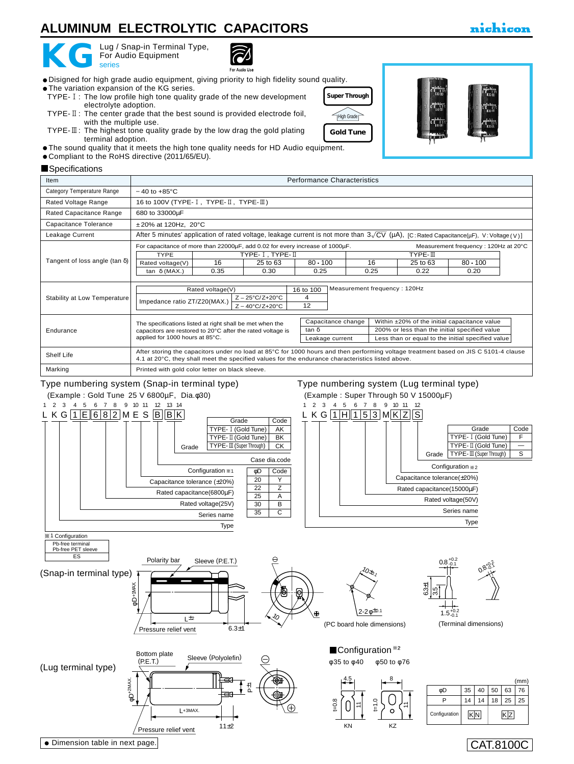## **ALUMINUM ELECTROLYTIC CAPACITORS**

# **KG** For A

Lug / Snap-in Terminal Type, For Audio Equipment



For Audio Lls

- The variation expansion of the KG series. TYPE-1: The low profile high tone quality grade of the new development electrolyte adoption.
- TYPE-  $\mathbb{I}$ : The center grade that the best sound is provided electrode foil, with the multiple use.
- TYPE- $\mathbb{I}\mathbb{I}$ : The highest tone quality grade by the low drag the gold plating terminal adoption.
- The sound quality that it meets the high tone quality needs for HD Audio equipment.
- Compliant to the RoHS directive (2011/65/EU).

Dimension table in next page.

#### Performance Characteristics Tangent of loss angle (tan δ) Less than or equal to the initial specified value 200% or less than the initial specified value Within ±20% of the initial capacitance value **Specifications** Category Temperature Range Rated Voltage Range Rated Capacitance Range Capacitance Tolerance Leakage Current Stability at Low Temperature Shelf Life Marking Item  $-40$  to  $+85^{\circ}$ C 16 to 100V (TYPE- $I$ , TYPE- $II$ , TYPE- $II$ ) 680 to 33000µF ±20% at 120Hz, 20°C After 5 minutes' application of rated voltage, leakage current is not more than 3 $\sqrt{\sf CV}$  (µA), [C∶Rated Capacitance(µF), V∶Voltage(∨)] Printed with gold color letter on black sleeve. 16 to 100 Measurement frequency : 120Hz The specifications listed at right shall be met when the capacitors are restored to 20°C after the rated voltage is applied for 1000 hours at 85°C. After storing the capacitors under no load at 85°C for 1000 hours and then performing voltage treatment based on JIS C 5101-4 clause 4.1 at 20°C, they shall meet the specified values for the endurance characteristics listed above. Z – 25°C/Z+20°C  $Z - 40^{\circ}$ C/Z+20 $^{\circ}$ C Rated voltage(V) Impedance ratio ZT/Z20(MAX.) 4 12 Measurement frequency : 120Hz at 20°C **TYPE** Rated voltage(V) tan δ (MAX.) TYPE-1, TYPE-11<br>
25 to 63 80 x 100<br>
25 to 63 80 x 100<br>
35 to 63 Endurance Capacitance change Leakage current tan δ  $\begin{array}{|c|c|c|}\n\hline\n16 & 25 \text{ to } 63 \\
\hline\n0.35 & 0.30\n\end{array}$  $0.30$  $\frac{80 \cdot 100}{0.25}$  $0.25$ 25 to 63  $0.22$ 80 • 100  $0.20$ For capacitance of more than 22000µF, add 0.02 for every increase of 1000µF.









CAT.8100C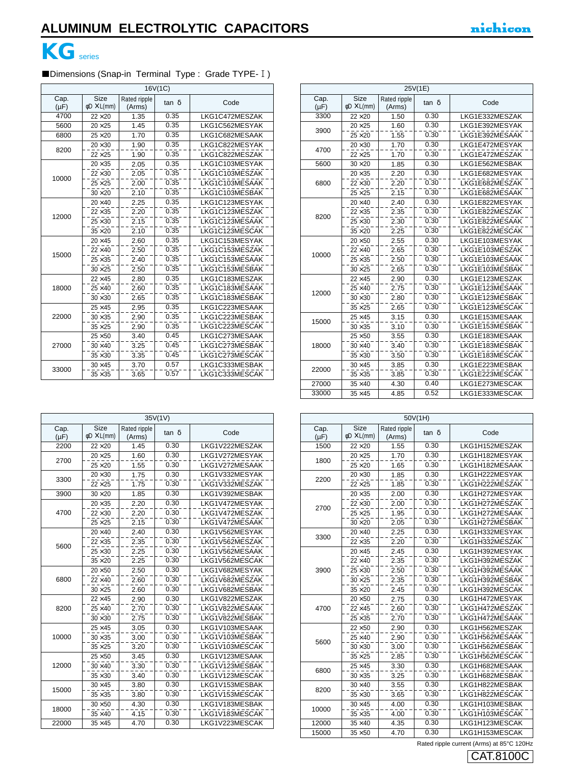

### Dimensions (Snap-in Terminal Type : Grade TYPE- I)  $16V/1C$

| 10V(IU)           |                                        |                        |              |                |  |
|-------------------|----------------------------------------|------------------------|--------------|----------------|--|
| Cap.<br>$(\mu F)$ | <b>Size</b><br>$\phi$ D $\times$ L(mm) | Rated ripple<br>(Arms) | $tan \delta$ | Code           |  |
| 4700              | $22\times20$                           | 1.35                   | 0.35         | LKG1C472MESZAK |  |
| 5600              | $20\times25$                           | 1.45                   | 0.35         | LKG1C562MESYAK |  |
| 6800              | $25\times20$                           | 1.70                   | 0.35         | LKG1C682MESAAK |  |
| 8200              | $20 \times 30$                         | 1.90                   | 0.35         | LKG1C822MESYAK |  |
|                   | $22\times25$                           | 1.90                   | 0.35         | LKG1C822MESZAK |  |
|                   | $20 \times 35$                         | 2.05                   | 0.35         | LKG1C103MESYAK |  |
| 10000             | $22\times30$                           | 2.05                   | 0.35         | LKG1C103MESZAK |  |
|                   | $25\times25$                           | 2.00                   | 0.35         | LKG1C103MESAAK |  |
|                   | $30 \times 20$                         | 2.10                   | 0.35         | LKG1C103MESBAK |  |
|                   | $20\times 40$                          | 2.25                   | 0.35         | LKG1C123MESYAK |  |
|                   | $22 \times 35$                         | 2.20                   | 0.35         | LKG1C123MESZAK |  |
| 12000             | $25 \times 30$                         | 2.15                   | 0.35         | LKG1C123MESAAK |  |
|                   | $35\times20$                           | 2.10                   | 0.35         | LKG1C123MESCAK |  |
|                   | $20\times 45$                          | 2.60                   | 0.35         | LKG1C153MESYAK |  |
| 15000             | $22\times 40$                          | 2.50                   | 0.35         | LKG1C153MESZAK |  |
|                   | $25 \times 35$                         | 2.40                   | 0.35         | LKG1C153MESAAK |  |
|                   | $30\times25$                           | 2.50                   | 0.35         | LKG1C153MESBAK |  |
|                   | $22 \times 45$                         | 2.80                   | 0.35         | LKG1C183MESZAK |  |
| 18000             | $25\times 40$                          | 2.60                   | 0.35         | LKG1C183MESAAK |  |
|                   | $30 \times 30$                         | 2.65                   | 0.35         | LKG1C183MESBAK |  |
|                   | $25\times 45$                          | 2.95                   | 0.35         | LKG1C223MESAAK |  |
| 22000             | $30 \times 35$                         | 2.90                   | 0.35         | LKG1C223MESBAK |  |
|                   | $35\times25$                           | 2.90                   | 0.35         | LKG1C223MESCAK |  |
|                   | $25\times50$                           | 3.40                   | 0.45         | LKG1C273MESAAK |  |
| 27000             | $30\times40$                           | 3.25                   | 0.45         | LKG1C273MESBAK |  |
|                   | $35 \times 30$                         | 3.35                   | 0.45         | LKG1C273MESCAK |  |
| 33000             | $30 \times 45$                         | 3.70                   | 0.57         | LKG1C333MESBAK |  |
|                   | $35 \times 35$                         | 3.65                   | 0.57         | LKG1C333MESCAK |  |

|                   |                                        |                        | 35V(1V) |                |
|-------------------|----------------------------------------|------------------------|---------|----------------|
| Cap.<br>$(\mu F)$ | <b>Size</b><br>$\phi$ D $\times$ L(mm) | Rated ripple<br>(Arms) | tan δ   | Code           |
| 2200              | $22\times20$                           | 1.45                   | 0.30    | LKG1V222MESZAK |
| 2700              | $20\times25$                           | 1.60                   | 0.30    | LKG1V272MESYAK |
|                   | $25\times20$                           | 1.55                   | 0.30    | LKG1V272MESAAK |
| 3300              | $20 \times 30$                         | 1.75                   | 0.30    | LKG1V332MESYAK |
|                   | $22\times25$                           | 1.75                   | 0.30    | LKG1V332MESZAK |
| 3900              | $30\times20$                           | 1.85                   | 0.30    | LKG1V392MESBAK |
|                   | $20 \times 35$                         | 2.20                   | 0.30    | LKG1V472MESYAK |
| 4700              | $22 \times 30$                         | 2.20                   | 0.30    | LKG1V472MESZAK |
|                   | $25\times25$                           | 2.15                   | 0.30    | LKG1V472MESAAK |
|                   | $20\times 40$                          | 2.40                   | 0.30    | LKG1V562MESYAK |
|                   | $22\times35$                           | 2.35                   | 0.30    | LKG1V562MESZAK |
| 5600              | $25 \times 30$                         | 2.25                   | 0.30    | LKG1V562MESAAK |
|                   | $35\times20$                           | 2.25                   | 0.30    | LKG1V562MESCAK |
|                   | $20\times50$                           | 2.50                   | 0.30    | LKG1V682MESYAK |
| 6800              | $22\times 40$                          | 2.60                   | 0.30    | LKG1V682MESZAK |
|                   | $30\times25$                           | 2.60                   | 0.30    | LKG1V682MESBAK |
|                   | $22 \times 45$                         | 2.90                   | 0.30    | LKG1V822MESZAK |
| 8200              | $25\times 40$                          | 2.70                   | 0.30    | LKG1V822MESAAK |
|                   | $30 \times 30$                         | 2.75                   | 0.30    | LKG1V822MESBAK |
|                   | $25 \times 45$                         | 3.05                   | 0.30    | LKG1V103MESAAK |
| 10000             | $30 \times 35$                         | 3.00                   | 0.30    | LKG1V103MESBAK |
|                   | $35 \times 25$                         | 3.20                   | 0.30    | LKG1V103MESCAK |
|                   | $25\times50$                           | 3.45                   | 0.30    | LKG1V123MESAAK |
| 12000             | $30 \times 40$                         | 3.30                   | 0.30    | LKG1V123MESBAK |
|                   | $35 \times 30$                         | 3.40                   | 0.30    | LKG1V123MESCAK |
| 15000             | $30 \times 45$                         | 3.80                   | 0.30    | LKG1V153MESBAK |
|                   | $35 \times 35$                         | 3.80                   | 0.30    | LKG1V153MESCAK |
|                   | $30\times50$                           | 4.30                   | 0.30    | LKG1V183MESBAK |
| 18000             | $35 \times 40$                         | 4.15                   | 0.30    | LKG1V183MESCAK |
| 22000             | $35 \times 45$                         | 4.70                   | 0.30    | LKG1V223MESCAK |

|                   | 25V(1E)                                |                        |       |                |  |  |
|-------------------|----------------------------------------|------------------------|-------|----------------|--|--|
| Cap.<br>$(\mu F)$ | <b>Size</b><br>$\phi$ D $\times$ L(mm) | Rated ripple<br>(Arms) | tan δ | Code           |  |  |
| 3300              | $22\times20$                           | 1.50                   | 0.30  | LKG1E332MESZAK |  |  |
|                   | $20\times25$                           | 1.60                   | 0.30  | LKG1E392MESYAK |  |  |
| 3900              | $25\times 20$                          | 1.55                   | 0.30  | LKG1E392MESAAK |  |  |
|                   | $20 \times 30$                         | 1.70                   | 0.30  | LKG1E472MESYAK |  |  |
| 4700              | $22\times25$                           | 1.70                   | 0.30  | LKG1E472MESZAK |  |  |
| 5600              | $30\times20$                           | 1.85                   | 0.30  | LKG1E562MESBAK |  |  |
|                   | $20 \times 35$                         | 2.20                   | 0.30  | LKG1E682MESYAK |  |  |
| 6800              | $22\times30$                           | 2.20                   | 0.30  | LKG1E682MESZAK |  |  |
|                   | $25\times25$                           | 2.15                   | 0.30  | LKG1E682MESAAK |  |  |
|                   | $20\times 40$                          | 2.40                   | 0.30  | LKG1E822MESYAK |  |  |
| 8200              | $22 \times 35$                         | 2.35                   | 0.30  | LKG1E822MESZAK |  |  |
|                   | $25 \times 30$                         | 2.30                   | 0.30  | LKG1E822MESAAK |  |  |
|                   | $35\times20$                           | 2.25                   | 0.30  | LKG1E822MESCAK |  |  |
|                   | $20\times50$                           | 2.55                   | 0.30  | LKG1E103MESYAK |  |  |
| 10000             | $22\times 40$                          | 2.65                   | 0.30  | LKG1E103MESZAK |  |  |
|                   | $25\times35$                           | 2.50                   | 0.30  | LKG1E103MESAAK |  |  |
|                   | $30\times25$                           | 2.65                   | 0.30  | LKG1E103MESBAK |  |  |
|                   | $22 \times 45$                         | 2.90                   | 0.30  | LKG1E123MESZAK |  |  |
| 12000             | $25\times 40$                          | 2.75                   | 0.30  | LKG1E123MESAAK |  |  |
|                   | $30 \times 30$                         | 2.80                   | 0.30  | LKG1E123MESBAK |  |  |
|                   | $35\times25$                           | 2.65                   | 0.30  | LKG1E123MESCAK |  |  |
| 15000             | $25 \times 45$                         | 3.15                   | 0.30  | LKG1E153MESAAK |  |  |
|                   | $30 \times 35$                         | 3.10                   | 0.30  | LKG1E153MESBAK |  |  |
|                   | $25\times50$                           | 3.55                   | 0.30  | LKG1E183MESAAK |  |  |
| 18000             | $30\times40$                           | 3.40                   | 0.30  | LKG1E183MESBAK |  |  |
|                   | $35 \times 30$                         | 3.50                   | 0.30  | LKG1E183MESCAK |  |  |
| 22000             | $30 \times 45$                         | 3.85                   | 0.30  | LKG1E223MESBAK |  |  |
|                   | $35 \times 35$                         | 3.85                   | 0.30  | LKG1E223MESCAK |  |  |
| 27000             | $35 \times 40$                         | 4.30                   | 0.40  | LKG1E273MESCAK |  |  |
| 33000             | $35 \times 45$                         | 4.85                   | 0.52  | LKG1E333MESCAK |  |  |

|                   | 50V(1H)                                |                        |              |                |  |  |
|-------------------|----------------------------------------|------------------------|--------------|----------------|--|--|
| Cap.<br>$(\mu F)$ | <b>Size</b><br>$\phi$ D $\times$ L(mm) | Rated ripple<br>(Arms) | $tan \delta$ | Code           |  |  |
| 1500              | $22\times20$                           | 1.55                   | 0.30         | LKG1H152MESZAK |  |  |
| 1800              | $20\times25$                           | 1.70                   | 0.30         | LKG1H182MESYAK |  |  |
|                   | $25\times 20$                          | 1.65                   | 0.30         | LKG1H182MESAAK |  |  |
|                   | $20 \times 30$                         | 1.85                   | 0.30         | LKG1H222MESYAK |  |  |
| 2200              | $22\times25$                           | 1.85                   | 0.30         | LKG1H222MESZAK |  |  |
|                   | $20\times35$                           | 2.00                   | 0.30         | LKG1H272MESYAK |  |  |
| 2700              | $22\times30$                           | 2.00                   | 0.30         | LKG1H272MESZAK |  |  |
|                   | $25 \times 25$                         | 1.95                   | 0.30         | LKG1H272MESAAK |  |  |
|                   | $30 \times 20$                         | 2.05                   | 0.30         | LKG1H272MESBAK |  |  |
|                   | $20\times 40$                          | 2.25                   | 0.30         | LKG1H332MESYAK |  |  |
| 3300              | $22 \times 35$                         | 2.20                   | 0.30         | LKG1H332MESZAK |  |  |
|                   | $20\times 45$                          | 2.45                   | 0.30         | LKG1H392MESYAK |  |  |
|                   | $22\times 40$                          | 2.35                   | 0.30         | LKG1H392MESZAK |  |  |
| 3900              | $25 \times 30$                         | 2.50                   | 0.30         | LKG1H392MESAAK |  |  |
|                   | $30 \times 25$                         | 2.35                   | 0.30         | LKG1H392MESBAK |  |  |
|                   | $35 \times 20$                         | 2.45                   | 0.30         | LKG1H392MESCAK |  |  |
|                   | $20\times50$                           | 2.75                   | 0.30         | LKG1H472MESYAK |  |  |
| 4700              | $22 \times 45$                         | 2.60                   | 0.30         | LKG1H472MESZAK |  |  |
|                   | $25 \times 35$                         | 2.70                   | 0.30         | LKG1H472MESAAK |  |  |
|                   | $22\times50$                           | 2.90                   | 0.30         | LKG1H562MESZAK |  |  |
|                   | $25\times 40$                          | 2.90                   | 0.30         | LKG1H562MESAAK |  |  |
| 5600              | $30 \times 30$                         | 3.00                   | 0.30         | LKG1H562MESBAK |  |  |
|                   | $35 \times 25$                         | 2.85                   | 0.30         | LKG1H562MESCAK |  |  |
|                   | $25 \times 45$                         | 3.30                   | 0.30         | LKG1H682MESAAK |  |  |
| 6800              | $30 \times 35$                         | 3.25                   | 0.30         | LKG1H682MESBAK |  |  |
|                   | $30 \times 40$                         | 3.55                   | 0.30         | LKG1H822MESBAK |  |  |
| 8200              | $35 \times 30$                         | 3.65                   | 0.30         | LKG1H822MESCAK |  |  |
|                   | $30 \times 45$                         | 4.00                   | 0.30         | LKG1H103MESBAK |  |  |
| 10000             | $35 \times 35$                         | 4.00                   | 0.30         | LKG1H103MESCAK |  |  |
| 12000             | $35 \times 40$                         | 4.35                   | 0.30         | LKG1H123MESCAK |  |  |
| 15000             | $35\times50$                           | 4.70                   | 0.30         | LKG1H153MESCAK |  |  |

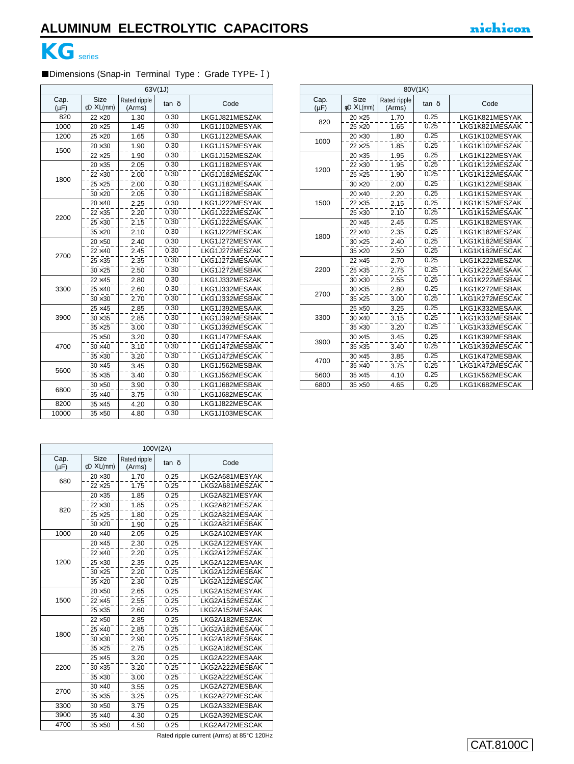

## Dimensions (Snap-in Terminal Type : Grade TYPE- I)

|                   | 63V(1J)                                |                        |              |                |  |  |
|-------------------|----------------------------------------|------------------------|--------------|----------------|--|--|
| Cap.<br>$(\mu F)$ | <b>Size</b><br>$\phi$ D $\times$ L(mm) | Rated ripple<br>(Arms) | $tan \delta$ | Code           |  |  |
| 820               | $22\times20$                           | 1.30                   | 0.30         | LKG1J821MESZAK |  |  |
| 1000              | $20\times25$                           | 1.45                   | 0.30         | LKG1J102MESYAK |  |  |
| 1200              | $25\times 20$                          | 1.65                   | 0.30         | LKG1J122MESAAK |  |  |
| 1500              | $20 \times 30$                         | 1.90                   | 0.30         | LKG1J152MESYAK |  |  |
|                   | $22\times25$                           | 1.90                   | 0.30         | LKG1J152MESZAK |  |  |
|                   | $20 \times 35$                         | 2.05                   | 0.30         | LKG1J182MESYAK |  |  |
| 1800              | $22 \times 30$                         | 2.00                   | 0.30         | LKG1J182MESZAK |  |  |
|                   | $25\times25$                           | 2.00                   | 0.30         | LKG1J182MESAAK |  |  |
|                   | $30 \times 20$                         | 2.05                   | 0.30         | LKG1J182MESBAK |  |  |
|                   | $20 \times 40$                         | 2.25                   | 0.30         | LKG1J222MESYAK |  |  |
| 2200              | $22 \times 35$                         | 2.20                   | 0.30         | LKG1J222MESZAK |  |  |
|                   | $25 \times 30$                         | 2.15                   | 0.30         | LKG1J222MESAAK |  |  |
|                   | $35 \times 20$                         | 2.10                   | 0.30         | LKG1J222MESCAK |  |  |
|                   | $20\times50$                           | 2.40                   | 0.30         | LKG1J272MESYAK |  |  |
| 2700              | $22 \times 40$                         | 2.45                   | 0.30         | LKG1J272MESZAK |  |  |
|                   | $25 \times 35$                         | 2.35                   | 0.30         | LKG1J272MESAAK |  |  |
|                   | $30 \times 25$                         | 2.50                   | 0.30         | LKG1J272MESBAK |  |  |
|                   | $22 \times 45$                         | 2.80                   | 0.30         | LKG1J332MESZAK |  |  |
| 3300              | $25 \times 40$                         | 2.60                   | 0.30         | LKG1J332MESAAK |  |  |
|                   | $30 \times 30$                         | 2.70                   | 0.30         | LKG1J332MESBAK |  |  |
|                   | $25 \times 45$                         | 2.85                   | 0.30         | LKG1J392MESAAK |  |  |
| 3900              | $30 \times 35$                         | 2.85                   | 0.30         | LKG1J392MESBAK |  |  |
|                   | $35 \times 25$                         | 3.00                   | 0.30         | LKG1J392MESCAK |  |  |
|                   | $25\times50$                           | 3.20                   | 0.30         | LKG1J472MESAAK |  |  |
| 4700              | $30 \times 40$                         | 3.10                   | 0.30         | LKG1J472MESBAK |  |  |
|                   | $35 \times 30$                         | 3.20                   | 0.30         | LKG1J472MESCAK |  |  |
| 5600              | $30 \times 45$                         | 3.45                   | 0.30         | LKG1J562MESBAK |  |  |
|                   | $35 \times 35$                         | 3.40                   | 0.30         | LKG1J562MESCAK |  |  |
| 6800              | $30\times50$                           | 3.90                   | 0.30         | LKG1J682MESBAK |  |  |
|                   | $35 \times 40$                         | 3.75                   | 0.30         | LKG1J682MESCAK |  |  |
| 8200              | $35 \times 45$                         | 4.20                   | 0.30         | LKG1J822MESCAK |  |  |
| 10000             | $35 \times 50$                         | 4.80                   | 0.30         | LKG1J103MESCAK |  |  |

|                   | 100V(2A)                               |                        |       |                |  |  |
|-------------------|----------------------------------------|------------------------|-------|----------------|--|--|
| Cap.<br>$(\mu F)$ | <b>Size</b><br>$\phi$ D $\times$ L(mm) | Rated ripple<br>(Arms) | tan δ | Code           |  |  |
| 680               | $20 \times 30$                         | 1.70                   | 0.25  | LKG2A681MESYAK |  |  |
|                   | $22 \times 25$                         | 1.75                   | 0.25  | LKG2A681MESZAK |  |  |
|                   | $20 \times 35$                         | 1.85                   | 0.25  | LKG2A821MESYAK |  |  |
| 820               | $22 \times 30$                         | 1.85                   | 0.25  | LKG2A821MESZAK |  |  |
|                   | $25 \times 25$                         | 1.80                   | 0.25  | LKG2A821MESAAK |  |  |
|                   | $30 \times 20$                         | 1.90                   | 0.25  | LKG2A821MESBAK |  |  |
| 1000              | $20 \times 40$                         | 2.05                   | 0.25  | LKG2A102MESYAK |  |  |
|                   | $20 \times 45$                         | 2.30                   | 0.25  | LKG2A122MESYAK |  |  |
|                   | $22 \times 40$                         | 2.20                   | 0.25  | LKG2A122MESZAK |  |  |
| 1200              | $25 \times 30$                         | 2.35                   | 0.25  | LKG2A122MESAAK |  |  |
|                   | $30 \times 25$                         | 2.20                   | 0.25  | LKG2A122MESBAK |  |  |
|                   | $35 \times 20$                         | 2.30                   | 0.25  | LKG2A122MESCAK |  |  |
|                   | $20\times50$                           | 2.65                   | 0.25  | LKG2A152MESYAK |  |  |
| 1500              | $22 \times 45$                         | 2.55                   | 0.25  | LKG2A152MESZAK |  |  |
|                   | $25 \times 35$                         | 2.60                   | 0.25  | LKG2A152MESAAK |  |  |
|                   | $22\times50$                           | 2.85                   | 0.25  | LKG2A182MESZAK |  |  |
|                   | $25 \times 40$                         | 2.85                   | 0.25  | LKG2A182MESAAK |  |  |
| 1800              | $30 \times 30$                         | 2.90                   | 0.25  | LKG2A182MESBAK |  |  |
|                   | $35 \times 25$                         | 2.75                   | 0.25  | LKG2A182MESCAK |  |  |
|                   | $25 \times 45$                         | 3.20                   | 0.25  | LKG2A222MESAAK |  |  |
| 2200              | $30 \times 35$                         | 3.20                   | 0.25  | LKG2A222MESBAK |  |  |
|                   | $35 \times 30$                         | 3.00                   | 0.25  | LKG2A222MESCAK |  |  |
| 2700              | $30 \times 40$                         | 3.55                   | 0.25  | LKG2A272MESBAK |  |  |
|                   | $35 \times 35$                         | 3.25                   | 0.25  | LKG2A272MESCAK |  |  |
| 3300              | $30\times50$                           | 3.75                   | 0.25  | LKG2A332MESBAK |  |  |
| 3900              | $35 \times 40$                         | 4.30                   | 0.25  | LKG2A392MESCAK |  |  |
| 4700              | $35 \times 50$                         | 4.50                   | 0.25  | LKG2A472MESCAK |  |  |

820 1000 1200 1500 1800 2200 2700 3300 3900 4700 5600 6800  $20 \times 25$  $25 \times 20$  $20 \times 30$  $22 \times 25$  $20 \times 35$  $22 \times 30$  $25 \times 25$  $30 \times 20$  $20\times 40$  $22 \times 35$  $25 \times 30$  $20 \times 45$  $22 \times 40$  $30 \times 25$  $35 \times 20$  $22 \times 45$  $25 \times 35$  $30 \times 30$  $30 \times 35$  $35 \times 25$  $25 \times 50$  $30 \times 40$  $35 \times 30$  $30 \times 45$  $35 \times 35$  $30 \times 45$  $35 \times 40$  $\overline{35 \times 45}$  $35 \times 50$ 1.70 1.65 1.80  $-7.85$ 1.95 1.95 1.90  $2.00$ 2.20 2.15 2.10  $2.45$  $2.35$ 2.40 2.50 2.70  $2.75$ 2.55 2.80 3.00 3.25  $3.15$  $3.20$  $3.45$  $3.40$ 3.85 3.75 4.10 4.65 0.25  $0.25$ 0.25 0.25 0.25  $0.25$ 0.25 0.25 0.25 0.25  $\overline{0.25}$ 0.25  $0.25$  $0.25$  $0.25$ 0.25  $0.25$ 0.25  $0.25$ 0.25 0.25  $0.25$  $\overline{0.25}$  $0.25$  $0.25$ 0.25  $0.25$ 0.25 0.25 LKG1K821MESYAK LKG1K821MESAAK LKG1K102MESYAK LKG1K102MESZAK LKG1K122MESYAK LKG1K122MESZAK LKG1K122MESAAK LKG1K122MESBAK LKG1K152MESYAK LKG1K152MESZAK LKG1K152MESAAK LKG1K182MESYAK LKG1K182MESZAK LKG1K182MESBAK LKG1K182MESCAK LKG1K222MESZAK LKG1K222MESAAK LKG1K222MESBAK LKG1K272MESBAK LKG1K272MESCAK LKG1K332MESAAK LKG1K332MESBAK LKG1K332MESCAK LKG1K392MESBAK LKG1K392MESCAK LKG1K472MESBAK LKG1K472MESCAK LKG1K562MESCAK LKG1K682MESCAK Rated ripple  $\times$  L(mm)  $\left|\begin{array}{cc} \mathsf{Rate} & \mathsf{r} \\ \mathsf{Rate} & \mathsf{r} \end{array}\right|$  tan  $\delta$   $\left|\begin{array}{cc} \mathsf{Code} \end{array}\right|$  $\phi$ D  $\times$  L(mm) Cap.  $(\mu F)$ 

80V(1K)

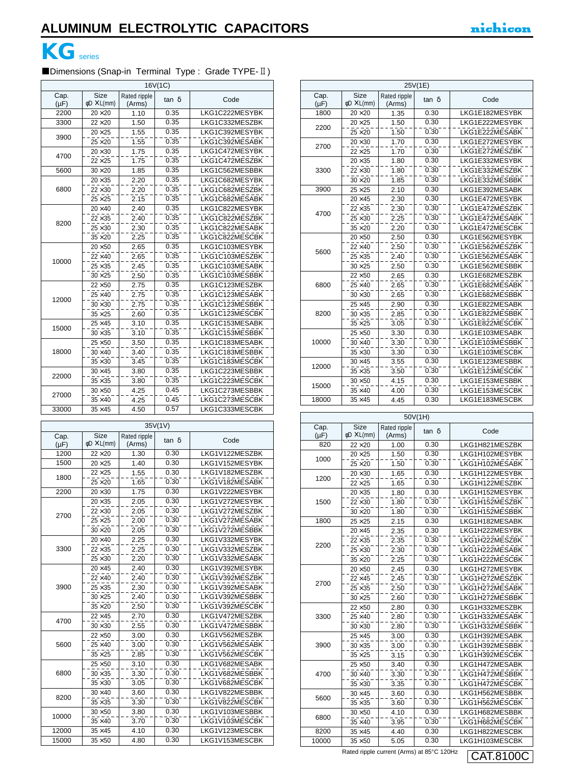## **KG**series

## ■Dimensions (Snap-in Terminal Type : Grade TYPE- II)

| 16V(1C)           |                                        |                        |                   |                |  |
|-------------------|----------------------------------------|------------------------|-------------------|----------------|--|
| Cap.<br>$(\mu F)$ | <b>Size</b><br>$\phi$ D $\times$ L(mm) | Rated ripple<br>(Arms) | $tan \delta$      | Code           |  |
| 2200              | $20\times 20$                          | 1.10                   | 0.35              | LKG1C222MESYBK |  |
| 3300              | $22\times20$                           | 1.50                   | 0.35              | LKG1C332MESZBK |  |
| 3900              | $20\times25$                           | 1.55                   | 0.35              | LKG1C392MESYBK |  |
|                   | $25 \times 20$                         | 1.55                   | 0.35              | LKG1C392MESABK |  |
| 4700              | $20 \times 30$                         | 1.75                   | 0.35              | LKG1C472MESYBK |  |
|                   | $22\times25$                           | 1.75                   | 0.35              | LKG1C472MESZBK |  |
| 5600              | $30\times20$                           | 1.85                   | 0.35              | LKG1C562MESBBK |  |
|                   | $20 \times 35$                         | 2.20                   | 0.35              | LKG1C682MESYBK |  |
| 6800              | $22\times30$                           | 2.20                   | 0.35              | LKG1C682MESZBK |  |
|                   | $25 \times 25$                         | 2.15                   | 0.35              | LKG1C682MESABK |  |
|                   | $20\times 40$                          | 2.40                   | 0.35              | LKG1C822MESYBK |  |
| 8200              | $22 \times 35$                         | 2.40                   | 0.35              | LKG1C822MESZBK |  |
|                   | $25 \times 30$                         | 2.30                   | 0.35              | LKG1C822MESABK |  |
|                   | $35 \times 20$                         | 2.25                   | 0.35              | LKG1C822MESCBK |  |
|                   | $20\times50$                           | 2.65                   | 0.35              | LKG1C103MESYBK |  |
| 10000             | $22\times 40$                          | 2.65                   | 0.35              | LKG1C103MESZBK |  |
|                   | $25 \times 35$                         | 2.45                   | 0.35              | LKG1C103MESABK |  |
|                   | $30\times25$                           | 2.50                   | 0.35              | LKG1C103MESBBK |  |
|                   | $22\times50$                           | 2.75                   | 0.35              | LKG1C123MESZBK |  |
| 12000             | $25\times 40$                          | 2.75                   | $\overline{0.35}$ | LKG1C123MESABK |  |
|                   | $30 \times 30$                         | 2.75                   | 0.35              | LKG1C123MESBBK |  |
|                   | $35 \times 25$                         | 2.60                   | 0.35              | LKG1C123MESCBK |  |
| 15000             | $25 \times 45$                         | 3.10                   | 0.35              | LKG1C153MESABK |  |
|                   | $30 \times 35$                         | 3.10                   | 0.35              | LKG1C153MESBBK |  |
|                   | $25\times50$                           | 3.50                   | 0.35              | LKG1C183MESABK |  |
| 18000             | $30 \times 40$                         | 3.40                   | 0.35              | LKG1C183MESBBK |  |
|                   | $35 \times 30$                         | 3.45                   | 0.35              | LKG1C183MESCBK |  |
| 22000             | $30 \times 45$                         | 3.80                   | 0.35              | LKG1C223MESBBK |  |
|                   | $35 \times 35$                         | 3.80                   | 0.35              | LKG1C223MESCBK |  |
| 27000             | $30\times50$                           | 4.25                   | 0.45              | LKG1C273MESBBK |  |
|                   | $35 \times 40$                         | 4.25                   | 0.45              | LKG1C273MESCBK |  |
| 33000             | $35 \times 45$                         | 4.50                   | 0.57              | LKG1C333MESCBK |  |

|                   | Cap.                                   |                        |              |                |                  |
|-------------------|----------------------------------------|------------------------|--------------|----------------|------------------|
| Cap.<br>$(\mu F)$ | <b>Size</b><br>$\phi$ D $\times$ L(mm) | Rated ripple<br>(Arms) | $tan \delta$ | Code           | $(\mu F)$<br>820 |
| 1200              | $22\times20$                           | 1.30                   | 0.30         | LKG1V122MESZBK |                  |
| 1500              | $20\times25$                           | 1.40                   | 0.30         | LKG1V152MESYBK | 1000             |
|                   | $22\times25$                           | 1.55                   | 0.30         | LKG1V182MESZBK |                  |
| 1800              | $25\times20$                           | 1.65                   | 0.30         | LKG1V182MESABK | 1200             |
| 2200              | $20 \times 30$                         | 1.75                   | 0.30         | LKG1V222MESYBK |                  |
|                   | $20 \times 35$                         | 2.05                   | 0.30         | LKG1V272MESYBK | 1500             |
|                   | $22 \times 30$                         | 2.05                   | 0.30         | LKG1V272MESZBK |                  |
| 2700              | $25 \times 25$                         | 2.00                   | 0.30         | LKG1V272MESABK | 1800             |
|                   | $30 \times 20$                         | 2.05                   | 0.30         | LKG1V272MESBBK |                  |
|                   | $20\times 40$                          | 2.25                   | 0.30         | LKG1V332MESYBK |                  |
| 3300              | $22 \times 35$                         | 2.25                   | 0.30         | LKG1V332MESZBK | 2200             |
|                   | $25 \times 30$                         | 2.20                   | 0.30         | LKG1V332MESABK |                  |
|                   | $20\times 45$                          | 2.40                   | 0.30         | LKG1V392MESYBK |                  |
|                   | $22\times 40$                          | 2.40                   | 0.30         | LKG1V392MESZBK |                  |
| 3900              | $25 \times 35$                         | 2.30                   | 0.30         | LKG1V392MESABK | 2700             |
|                   | $30 \times 25$                         | 2.40                   | 0.30         | LKG1V392MESBBK |                  |
|                   | $35\times20$                           | 2.50                   | 0.30         | LKG1V392MESCBK |                  |
| 4700              | $22\times 45$                          | 2.70                   | 0.30         | LKG1V472MESZBK | 3300             |
|                   | $30 \times 30$                         | 2.55                   | 0.30         | LKG1V472MESBBK |                  |
|                   | $22\times50$                           | 3.00                   | 0.30         | LKG1V562MESZBK |                  |
| 5600              | $25\times 40$                          | 3.00                   | 0.30         | LKG1V562MESABK | 3900             |
|                   | $35 \times 25$                         | 2.85                   | 0.30         | LKG1V562MESCBK |                  |
|                   | $25\times50$                           | 3.10                   | 0.30         | LKG1V682MESABK |                  |
| 6800              | $30 \times 35$                         | 3.30                   | 0.30         | LKG1V682MESBBK | 4700             |
|                   | $35 \times 30$                         | 3.05                   | 0.30         | LKG1V682MESCBK |                  |
| 8200              | $30 \times 40$                         | 3.60                   | 0.30         | LKG1V822MESBBK |                  |
|                   | $35 \times 35$                         | 3.30                   | 0.30         | LKG1V822MESCBK | 5600             |
| 10000             | $30\times50$                           | 3.80                   | 0.30         | LKG1V103MESBBK |                  |
|                   | $35 \times 40$                         | 3.70                   | 0.30         | LKG1V103MESCBK | 6800             |
| 12000             | $35 \times 45$                         | 4.10                   | 0.30         | LKG1V123MESCBK | 8200             |
| 15000             | $35\times50$                           | 4.80                   | 0.30         | LKG1V153MESCBK | 10000            |

|                   | 25V(1E)                                |                        |              |                |  |  |
|-------------------|----------------------------------------|------------------------|--------------|----------------|--|--|
| Cap.<br>$(\mu F)$ | <b>Size</b><br>$\phi$ D $\times$ L(mm) | Rated ripple<br>(Arms) | $tan \delta$ | Code           |  |  |
| 1800              | $20\times 20$                          | 1.35                   | 0.30         | LKG1E182MESYBK |  |  |
| 2200              | $20\times25$                           | 1.50                   | 0.30         | LKG1E222MESYBK |  |  |
|                   | $25\times20$                           | 1.50                   | 0.30         | LKG1E222MESABK |  |  |
|                   | $20\times30$                           | 1.70                   | 0.30         | LKG1E272MESYBK |  |  |
| 2700              | $22\times25$                           | 1.70                   | 0.30         | LKG1E272MESZBK |  |  |
|                   | $20\times35$                           | 1.80                   | 0.30         | LKG1E332MESYBK |  |  |
| 3300              | $22\!\times\!30$                       | 1.80                   | 0.30         | LKG1E332MESZBK |  |  |
|                   | $30\times20$                           | 1.85                   | 0.30         | LKG1E332MESBBK |  |  |
| 3900              | $25\times25$                           | 2.10                   | 0.30         | LKG1E392MESABK |  |  |
|                   | $20\times 45$                          | 2.30                   | 0.30         | LKG1E472MESYBK |  |  |
| 4700              | $22 \times 35$                         | 2.30                   | 0.30         | LKG1E472MESZBK |  |  |
|                   | $25 \times 30$                         | 2.25                   | 0.30         | LKG1E472MESABK |  |  |
|                   | $35\times20$                           | 2.20                   | 0.30         | LKG1E472MESCBK |  |  |
|                   | $20\times50$                           | 2.50                   | 0.30         | LKG1E562MESYBK |  |  |
| 5600              | $22\times 40$                          | 2.50                   | 0.30         | LKG1E562MESZBK |  |  |
|                   | $25 \times 35$                         | 2.40                   | 0.30         | LKG1E562MESABK |  |  |
|                   | $30\times25$                           | 2.50                   | 0.30         | LKG1E562MESBBK |  |  |
|                   | $22\times50$                           | 2.65                   | 0.30         | LKG1E682MESZBK |  |  |
| 6800              | $25\times 40$                          | 2.65                   | 0.30         | LKG1E682MESABK |  |  |
|                   | $30 \times 30$                         | 2.65                   | 0.30         | LKG1E682MESBBK |  |  |
|                   | $25 \times 45$                         | 2.90                   | 0.30         | LKG1E822MESABK |  |  |
| 8200              | $30 \times 35$                         | 2.85                   | 0.30         | LKG1E822MESBBK |  |  |
|                   | $35 \times 25$                         | 3.05                   | 0.30         | LKG1E822MESCBK |  |  |
|                   | $25\times50$                           | 3.30                   | 0.30         | LKG1E103MESABK |  |  |
| 10000             | $30\times40$                           | 3.30                   | 0.30         | LKG1E103MESBBK |  |  |
|                   | $35 \times 30$                         | 3.30                   | 0.30         | LKG1E103MESCBK |  |  |
| 12000             | $30 \times 45$                         | 3.55                   | 0.30         | LKG1E123MESBBK |  |  |
|                   | $35 \times 35$                         | 3.50                   | 0.30         | LKG1E123MESCBK |  |  |
| 15000             | $30\times50$                           | 4.15                   | 0.30         | LKG1E153MESBBK |  |  |
|                   | $35\times40$                           | 4.00                   | 0.30         | LKG1E153MESCBK |  |  |
| 18000             | $35 \times 45$                         | 4.45                   | 0.30         | LKG1E183MESCBK |  |  |

| 50V(1H)           |                                        |                        |       |                |
|-------------------|----------------------------------------|------------------------|-------|----------------|
| Cap.<br>$(\mu F)$ | <b>Size</b><br>$\phi$ D $\times$ L(mm) | Rated ripple<br>(Arms) | tan δ | Code           |
| 820               | $22\times 20$                          | 1.00                   | 0.30  | LKG1H821MESZBK |
|                   | $20\times 25$                          | 1.50                   | 0.30  | LKG1H102MESYBK |
| 1000              | $25\times 20$                          | 1.50                   | 0.30  | LKG1H102MESABK |
| 1200              | $20\times30$                           | 1.65                   | 0.30  | LKG1H122MESYBK |
|                   | $22\times25$                           | 1.65                   | 0.30  | LKG1H122MESZBK |
|                   | $20 \times 35$                         | 1.80                   | 0.30  | LKG1H152MESYBK |
| 1500              | $22 \times 30$                         | 1.80                   | 0.30  | LKG1H152MESZBK |
|                   | $30\times20$                           | 1.80                   | 0.30  | LKG1H152MESBBK |
| 1800              | $25\times 25$                          | 2.15                   | 0.30  | LKG1H182MESABK |
|                   | $20\times 45$                          | 2.35                   | 0.30  | LKG1H222MESYBK |
| 2200              | $22\times35$                           | 2.35                   | 0.30  | LKG1H222MESZBK |
|                   | $25 \times 30$                         | 2.30                   | 0.30  | LKG1H222MESABK |
|                   | $35 \times 20$                         | 2.25                   | 0.30  | LKG1H222MESCBK |
|                   | $20\times50$                           | 2.45                   | 0.30  | LKG1H272MESYBK |
| 2700              | $22 \times 45$                         | 2.45                   | 0.30  | LKG1H272MESZBK |
|                   | $25 \times 35$                         | 2.50                   | 0.30  | LKG1H272MESABK |
|                   | $30\times25$                           | 2.60                   | 0.30  | LKG1H272MESBBK |
|                   | $22\times50$                           | 2.80                   | 0.30  | LKG1H332MESZBK |
| 3300              | $25\times 40$                          | 2.80                   | 0.30  | LKG1H332MESABK |
|                   | $30 \times 30$                         | 2.80                   | 0.30  | LKG1H332MESBBK |
|                   | $25 \times 45$                         | 3.00                   | 0.30  | LKG1H392MESABK |
| 3900              | $30 \times 35$                         | 3.00                   | 0.30  | LKG1H392MESBBK |
|                   | $35 \times 25$                         | 3.15                   | 0.30  | LKG1H392MESCBK |
|                   | $25\times50$                           | 3.40                   | 0.30  | LKG1H472MESABK |
| 4700              | $30 \times 40$                         | 3.30                   | 0.30  | LKG1H472MESBBK |
|                   | $35 \times 30$                         | 3.35                   | 0.30  | LKG1H472MESCBK |
| 5600              | $30 \times 45$                         | 3.60                   | 0.30  | LKG1H562MESBBK |
|                   | $35 \times 35$                         | 3.60                   | 0.30  | LKG1H562MESCBK |
| 6800              | $30\times50$                           | 4.10                   | 0.30  | LKG1H682MESBBK |
|                   | $35 \times 40$                         | 3.95                   | 0.30  | LKG1H682MESCBK |
| 8200              | $35 \times 45$                         | 4.40                   | 0.30  | LKG1H822MESCBK |
| 10000             | $35\times50$                           | 5.05                   | 0.30  | LKG1H103MESCBK |

Rated ripple current (Arms) at 85°C 120Hz  $\boxed{\text{CAT.8100C}}$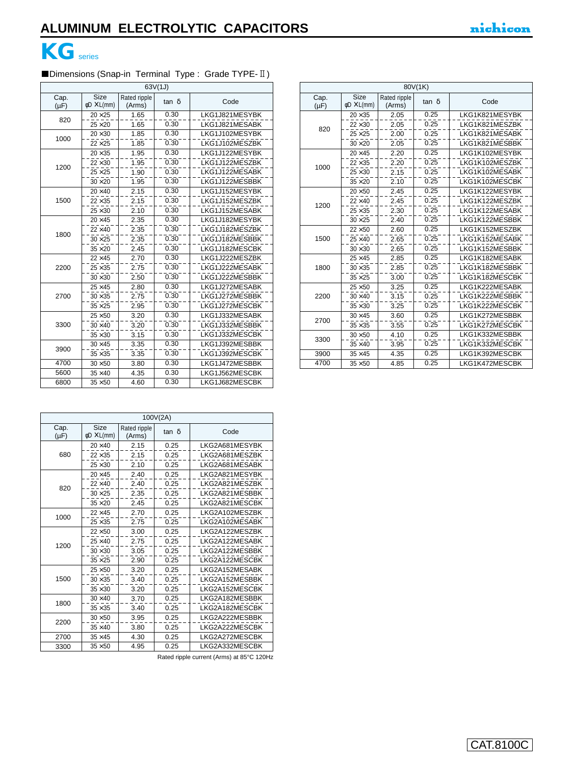

#### ■Dimensions (Snap-in Terminal Type : Grade TYPE-II) ٦

|                   | 63V(1J)                                |                        |              |                |  |  |
|-------------------|----------------------------------------|------------------------|--------------|----------------|--|--|
| Cap.<br>$(\mu F)$ | <b>Size</b><br>$\phi$ D $\times$ L(mm) | Rated ripple<br>(Arms) | $tan \delta$ | Code           |  |  |
| 820               | $20 \times 25$                         | 1.65                   | 0.30         | LKG1J821MESYBK |  |  |
|                   | $25 \times 20$                         | 1.65                   | 0.30         | LKG1J821MESABK |  |  |
| 1000              | $20 \times 30$                         | 1.85                   | 0.30         | LKG1J102MESYBK |  |  |
|                   | $22 \times 25$                         | 1.85                   | 0.30         | LKG1J102MESZBK |  |  |
|                   | $20 \times 35$                         | 1.95                   | 0.30         | LKG1J122MESYBK |  |  |
| 1200              | $22 \times 30$                         | 1.95                   | 0.30         | LKG1J122MESZBK |  |  |
|                   | $25 \times 25$                         | 1.90                   | 0.30         | LKG1J122MESABK |  |  |
|                   | $30 \times 20$                         | 1.95                   | 0.30         | LKG1J122MESBBK |  |  |
|                   | $20 \times 40$                         | 2.15                   | 0.30         | LKG1J152MESYBK |  |  |
| 1500              | $22 \times 35$                         | 2.15                   | 0.30         | LKG1J152MESZBK |  |  |
|                   | $25 \times 30$                         | 2.10                   | 0.30         | LKG1J152MESABK |  |  |
|                   | $20 \times 45$                         | 2.35                   | 0.30         | LKG1J182MESYBK |  |  |
| 1800              | $22\times 40$                          | 2.35                   | 0.30         | LKG1J182MESZBK |  |  |
|                   | $30 \times 25$                         | 2.35                   | 0.30         | LKG1J182MESBBK |  |  |
|                   | $35 \times 20$                         | 2.45                   | 0.30         | LKG1J182MESCBK |  |  |
|                   | $22 \times 45$                         | 2.70                   | 0.30         | LKG1J222MESZBK |  |  |
| 2200              | $25 \times 35$                         | 2.75                   | 0.30         | LKG1J222MESABK |  |  |
|                   | $30 \times 30$                         | 2.50                   | 0.30         | LKG1J222MESBBK |  |  |
|                   | $25 \times 45$                         | 2.80                   | 0.30         | LKG1J272MESABK |  |  |
| 2700              | $30 \times 35$                         | 2.75                   | 0.30         | LKG1J272MESBBK |  |  |
|                   | $35 \times 25$                         | 2.95                   | 0.30         | LKG1J272MESCBK |  |  |
|                   | $25\times50$                           | 3.20                   | 0.30         | LKG1J332MESABK |  |  |
| 3300              | $30 \times 40$                         | 3.20                   | 0.30         | LKG1J332MESBBK |  |  |
|                   | $35 \times 30$                         | 3.15                   | 0.30         | LKG1J332MESCBK |  |  |
| 3900              | $30 \times 45$                         | 3.35                   | 0.30         | LKG1J392MESBBK |  |  |
|                   | $35 \times 35$                         | 3.35                   | 0.30         | LKG1J392MESCBK |  |  |
| 4700              | $30\times50$                           | 3.80                   | 0.30         | LKG1J472MESBBK |  |  |
| 5600              | $35 \times 40$                         | 4.35                   | 0.30         | LKG1J562MESCBK |  |  |
| 6800              | $35\times50$                           | 4.60                   | 0.30         | LKG1J682MESCBK |  |  |

| 80V(1K)           |                                        |                        |              |                |  |
|-------------------|----------------------------------------|------------------------|--------------|----------------|--|
| Cap.<br>$(\mu F)$ | <b>Size</b><br>$\phi$ D $\times$ L(mm) | Rated ripple<br>(Arms) | $tan \delta$ | Code           |  |
|                   | $20 \times 35$                         | 2.05                   | 0.25         | LKG1K821MESYBK |  |
| 820               | $22 \times 30$                         | 2.05                   | 0.25         | LKG1K821MESZBK |  |
|                   | $25 \times 25$                         | 2.00                   | 0.25         | LKG1K821MESABK |  |
|                   | $30 \times 20$                         | 2.05                   | 0.25         | LKG1K821MESBBK |  |
|                   | $20 \times 45$                         | 2.20                   | 0.25         | LKG1K102MESYBK |  |
| 1000              | $22\times35$                           | 2.20                   | 0.25         | LKG1K102MESZBK |  |
|                   | $25 \times 30$                         | 2.15                   | 0.25         | LKG1K102MESABK |  |
|                   | $35 \times 20$                         | 2.10                   | 0.25         | LKG1K102MESCBK |  |
|                   | $20\times50$                           | 2.45                   | 0.25         | LKG1K122MESYBK |  |
|                   | $22\times 40$                          | 2.45                   | 0.25         | LKG1K122MESZBK |  |
| 1200              | $25 \times 35$                         | 2.30                   | 0.25         | LKG1K122MESABK |  |
|                   | $30 \times 25$                         | 2.40                   | 0.25         | LKG1K122MESBBK |  |
|                   | $22\times50$                           | 2.60                   | 0.25         | LKG1K152MESZBK |  |
| 1500              | $25 \times 40$                         | 2.65                   | 0.25         | LKG1K152MESABK |  |
|                   | $30 \times 30$                         | 2.65                   | 0.25         | LKG1K152MESBBK |  |
|                   | $25 \times 45$                         | 2.85                   | 0.25         | LKG1K182MESABK |  |
| 1800              | $30 \times 35$                         | 2.85                   | 0.25         | LKG1K182MESBBK |  |
|                   | $35 \times 25$                         | 3.00                   | 0.25         | LKG1K182MESCBK |  |
|                   | $25\times50$                           | 3.25                   | 0.25         | LKG1K222MESABK |  |
| 2200              | $30 \times 40$                         | 3.15                   | 0.25         | LKG1K222MESBBK |  |
|                   | $35 \times 30$                         | 3.25                   | 0.25         | LKG1K222MESCBK |  |
|                   | $30 \times 45$                         | 3.60                   | 0.25         | LKG1K272MESBBK |  |
| 2700              | $35 \times 35$                         | 3.55                   | 0.25         | LKG1K272MESCBK |  |
|                   | $30\times50$                           | 4.10                   | 0.25         | LKG1K332MESBBK |  |
| 3300              | $35 \times 40$                         | 3.95                   | 0.25         | LKG1K332MESCBK |  |
| 3900              | $35 \times 45$                         | 4.35                   | 0.25         | LKG1K392MESCBK |  |
| 4700              | $35 \times 50$                         | 4.85                   | 0.25         | LKG1K472MESCBK |  |

| 100V(2A)          |                                 |                        |              |                |  |  |
|-------------------|---------------------------------|------------------------|--------------|----------------|--|--|
| Cap.<br>$(\mu F)$ | Size<br>$\phi$ D $\times$ L(mm) | Rated ripple<br>(Arms) | $tan \delta$ | Code           |  |  |
|                   | $20\times 40$                   | 2.15                   | 0.25         | LKG2A681MESYBK |  |  |
| 680               | $22 \times 35$                  | 2.15                   | 0.25         | LKG2A681MESZBK |  |  |
|                   | $25 \times 30$                  | 2.10                   | 0.25         | LKG2A681MESABK |  |  |
|                   | $20 \times 45$                  | 2.40                   | 0.25         | LKG2A821MESYBK |  |  |
| 820               | $22 \times 40$                  | 2.40                   | 0.25         | LKG2A821MESZBK |  |  |
|                   | $30 \times 25$                  | 2.35                   | 0.25         | LKG2A821MESBBK |  |  |
|                   | $35 \times 20$                  | 2.45                   | 0.25         | LKG2A821MESCBK |  |  |
| 1000              | $22 \times 45$                  | 2.70                   | 0.25         | LKG2A102MESZBK |  |  |
|                   | $25 \times 35$                  | 2.75                   | 0.25         | LKG2A102MESABK |  |  |
|                   | $22\times50$                    | 3.00                   | 0.25         | LKG2A122MESZBK |  |  |
| 1200              | $25 \times 40$                  | 2.75                   | 0.25         | LKG2A122MESABK |  |  |
|                   | $30 \times 30$                  | 3.05                   | 0.25         | LKG2A122MESBBK |  |  |
|                   | $35 \times 25$                  | 2.90                   | 0.25         | LKG2A122MESCBK |  |  |
|                   | $25\times50$                    | 3.20                   | 0.25         | LKG2A152MESABK |  |  |
| 1500              | $30 \times 35$                  | 3.40                   | 0.25         | LKG2A152MESBBK |  |  |
|                   | $35 \times 30$                  | 3.20                   | 0.25         | LKG2A152MESCBK |  |  |
| 1800              | $30 \times 40$                  | 3.70                   | 0.25         | LKG2A182MESBBK |  |  |
|                   | $35 \times 35$                  | 3.40                   | 0.25         | LKG2A182MESCBK |  |  |
| 2200              | $30\times50$                    | 3.95                   | 0.25         | LKG2A222MESBBK |  |  |
|                   | $35 \times 40$                  | 3.80                   | 0.25         | LKG2A222MESCBK |  |  |
| 2700              | $35 \times 45$                  | 4.30                   | 0.25         | LKG2A272MESCBK |  |  |
| 3300              | $35 \times 50$                  | 4.95                   | 0.25         | LKG2A332MESCBK |  |  |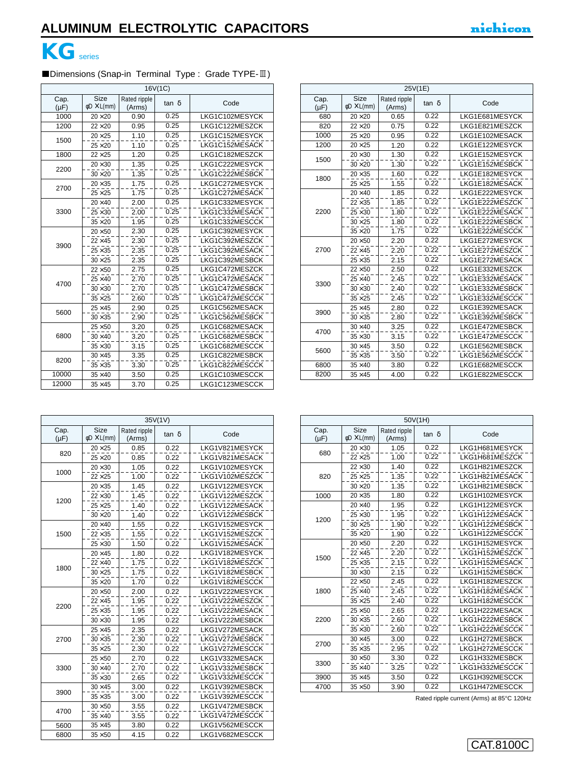

l,

## ■Dimensions (Snap-in Terminal Type : Grade TYPE-II)

| 16V(1C)           |                                        |                        |              |                |  |
|-------------------|----------------------------------------|------------------------|--------------|----------------|--|
| Cap.<br>$(\mu F)$ | <b>Size</b><br>$\phi$ D $\times$ L(mm) | Rated ripple<br>(Arms) | $tan \delta$ | Code           |  |
| 1000              | $20\times 20$                          | 0.90                   | 0.25         | LKG1C102MESYCK |  |
| 1200              | $22\times20$                           | 0.95                   | 0.25         | LKG1C122MESZCK |  |
| 1500              | $20\times25$                           | 1.10                   | 0.25         | LKG1C152MESYCK |  |
|                   | $25\times 20$                          | 1.10                   | 0.25         | LKG1C152MESACK |  |
| 1800              | $22\times25$                           | 1.20                   | 0.25         | LKG1C182MESZCK |  |
| 2200              | $20 \times 30$                         | 1.35                   | 0.25         | LKG1C222MESYCK |  |
|                   | $30 \times 20$                         | 1.35                   | 0.25         | LKG1C222MESBCK |  |
| 2700              | $20 \times 35$                         | 1.75                   | 0.25         | LKG1C272MESYCK |  |
|                   | $25\times25$                           | 1.75                   | 0.25         | LKG1C272MESACK |  |
|                   | $20\times 40$                          | 2.00                   | 0.25         | LKG1C332MESYCK |  |
| 3300              | $25 \times 30$                         | 2.00                   | 0.25         | LKG1C332MESACK |  |
|                   | $35\times20$                           | 1.95                   | 0.25         | LKG1C332MESCCK |  |
|                   | $20\times50$                           | 2.30                   | 0.25         | LKG1C392MESYCK |  |
| 3900              | $22 \times 45$                         | 2.30                   | 0.25         | LKG1C392MESZCK |  |
|                   | $25\times35$                           | 2.35                   | 0.25         | LKG1C392MESACK |  |
|                   | $30 \times 25$                         | 2.35                   | 0.25         | LKG1C392MESBCK |  |
|                   | $22\times50$                           | 2.75                   | 0.25         | LKG1C472MESZCK |  |
| 4700              | $25\times 40$                          | 2.70                   | 0.25         | LKG1C472MESACK |  |
|                   | $30 \times 30$                         | 2.70                   | 0.25         | LKG1C472MESBCK |  |
|                   | $35 \times 25$                         | 2.60                   | 0.25         | LKG1C472MESCCK |  |
| 5600              | $25 \times 45$                         | 2.90                   | 0.25         | LKG1C562MESACK |  |
|                   | $30 \times 35$                         | 2.90                   | 0.25         | LKG1C562MESBCK |  |
|                   | $25\times50$                           | 3.20                   | 0.25         | LKG1C682MESACK |  |
| 6800              | $30\times40$                           | 3.20                   | 0.25         | LKG1C682MESBCK |  |
|                   | $35 \times 30$                         | 3.15                   | 0.25         | LKG1C682MESCCK |  |
| 8200              | $30 \times 45$                         | 3.35                   | 0.25         | LKG1C822MESBCK |  |
|                   | $35 \times 35$                         | 3.30                   | 0.25         | LKG1C822MESCCK |  |
| 10000             | $35 \times 40$                         | 3.50                   | 0.25         | LKG1C103MESCCK |  |
| 12000             | $35 \times 45$                         | 3.70                   | 0.25         | LKG1C123MESCCK |  |

| 25V(1E)           |                                        |                        |                   |                |  |  |
|-------------------|----------------------------------------|------------------------|-------------------|----------------|--|--|
| Cap.<br>$(\mu F)$ | <b>Size</b><br>$\phi$ D $\times$ L(mm) | Rated ripple<br>(Arms) | $tan \delta$      | Code           |  |  |
| 680               | $20\times 20$                          | 0.65                   | 0.22              | LKG1E681MESYCK |  |  |
| 820               | $22\times20$                           | 0.75                   | 0.22              | LKG1E821MESZCK |  |  |
| 1000              | $25\times20$                           | 0.95                   | 0.22              | LKG1E102MESACK |  |  |
| 1200              | $20\times25$                           | 1.20                   | 0.22              | LKG1E122MESYCK |  |  |
| 1500              | $20 \times 30$                         | 1.30                   | 0.22              | LKG1E152MESYCK |  |  |
|                   | $30\times20$                           | 1.30                   | $\overline{0.22}$ | LKG1E152MESBCK |  |  |
| 1800              | $20\times35$                           | 1.60                   | 0.22              | LKG1E182MESYCK |  |  |
|                   | $25\times25$                           | 1.55                   | 0.22              | LKG1E182MESACK |  |  |
|                   | $20\times 40$                          | 1.85                   | 0.22              | LKG1E222MESYCK |  |  |
|                   | $22 \times 35$                         | 1.85                   | 0.22              | LKG1E222MESZCK |  |  |
| 2200              | $25 \times 30$                         | 1.80                   | 0.22              | LKG1E222MESACK |  |  |
|                   | $30\times25$                           | 1.80                   | 0.22              | LKG1E222MESBCK |  |  |
|                   | $35\times20$                           | 1.75                   | 0.22              | LKG1E222MESCCK |  |  |
|                   | $20\times50$                           | 2.20                   | 0.22              | LKG1E272MESYCK |  |  |
| 2700              | $22 \times 45$                         | 2.20                   | 0.22              | LKG1E272MESZCK |  |  |
|                   | $25 \times 35$                         | 2.15                   | 0.22              | LKG1E272MESACK |  |  |
|                   | $22\times50$                           | 2.50                   | 0.22              | LKG1E332MESZCK |  |  |
| 3300              | $25\times 40$                          | 2.45                   | 0.22              | LKG1E332MESACK |  |  |
|                   | $30 \times 30$                         | 2.40                   | $\overline{0.22}$ | LKG1E332MESBCK |  |  |
|                   | $35 \times 25$                         | 2.45                   | 0.22              | LKG1E332MESCCK |  |  |
| 3900              | $25 \times 45$                         | 2.80                   | 0.22              | LKG1E392MESACK |  |  |
|                   | $30 \times 35$                         | 2.80                   | 0.22              | LKG1E392MESBCK |  |  |
| 4700              | $30\times40$                           | 3.25                   | 0.22              | LKG1E472MESBCK |  |  |
|                   | $35 \times 30$                         | 3.15                   | 0.22              | LKG1E472MESCCK |  |  |
| 5600              | $30 \times 45$                         | 3.50                   | 0.22              | LKG1E562MESBCK |  |  |
|                   | $35 \times 35$                         | 3.50                   | 0.22              | LKG1E562MESCCK |  |  |
| 6800              | $35 \times 40$                         | 3.80                   | 0.22              | LKG1E682MESCCK |  |  |
| 8200              | $35 \times 45$                         | 4.00                   | 0.22              | LKG1E822MESCCK |  |  |

| 35V(1V)           |                                        |                        |       |                |  |
|-------------------|----------------------------------------|------------------------|-------|----------------|--|
| Cap.<br>$(\mu F)$ | <b>Size</b><br>$\phi$ D $\times$ L(mm) | Rated ripple<br>(Arms) | tan δ | Code           |  |
|                   | $20\times25$                           | 0.85                   | 0.22  | LKG1V821MESYCK |  |
| 820               | $25\times20$                           | 0.85                   | 0.22  | LKG1V821MESACK |  |
|                   | $20 \times 30$                         | 1.05                   | 0.22  | LKG1V102MESYCK |  |
| 1000              | $22\times25$                           | 1.00                   | 0.22  | LKG1V102MESZCK |  |
|                   | $20 \times 35$                         | 1.45                   | 0.22  | LKG1V122MESYCK |  |
| 1200              | $22 \times 30$                         | 1.45                   | 0.22  | LKG1V122MESZCK |  |
|                   | $25\times25$                           | 1.40                   | 0.22  | LKG1V122MESACK |  |
|                   | $30\times20$                           | 1.40                   | 0.22  | LKG1V122MESBCK |  |
|                   | $20\times 40$                          | 1.55                   | 0.22  | LKG1V152MESYCK |  |
| 1500              | $22 \times 35$                         | 1.55                   | 0.22  | LKG1V152MESZCK |  |
|                   | $25 \times 30$                         | 1.50                   | 0.22  | LKG1V152MESACK |  |
|                   | $20 \times 45$                         | 1.80                   | 0.22  | LKG1V182MESYCK |  |
| 1800              | $22\times 40$                          | 1.75                   | 0.22  | LKG1V182MESZCK |  |
|                   | $30 \times 25$                         | 1.75                   | 0.22  | LKG1V182MESBCK |  |
|                   | $35 \times 20$                         | 1.70                   | 0.22  | LKG1V182MESCCK |  |
|                   | $20\times50$                           | 2.00                   | 0.22  | LKG1V222MESYCK |  |
| 2200              | $22 \times 45$                         | 1.95                   | 0.22  | LKG1V222MESZCK |  |
|                   | $25 \times 35$                         | 1.95                   | 0.22  | LKG1V222MESACK |  |
|                   | $30 \times 30$                         | 1.95                   | 0.22  | LKG1V222MESBCK |  |
|                   | $25 \times 45$                         | 2.35                   | 0.22  | LKG1V272MESACK |  |
| 2700              | $30 \times 35$                         | 2.30                   | 0.22  | LKG1V272MESBCK |  |
|                   | $35 \times 25$                         | 2.30                   | 0.22  | LKG1V272MESCCK |  |
|                   | $25\times50$                           | 2.70                   | 0.22  | LKG1V332MESACK |  |
| 3300              | $30 \times 40$                         | 2.70                   | 0.22  | LKG1V332MESBCK |  |
|                   | $35 \times 30$                         | 2.65                   | 0.22  | LKG1V332MESCCK |  |
| 3900              | $30 \times 45$                         | 3.00                   | 0.22  | LKG1V392MESBCK |  |
|                   | $35 \times 35$                         | 3.00                   | 0.22  | LKG1V392MESCCK |  |
| 4700              | $30\times50$                           | 3.55                   | 0.22  | LKG1V472MESBCK |  |
|                   | $35 \times 40$                         | 3.55                   | 0.22  | LKG1V472MESCCK |  |
| 5600              | $35 \times 45$                         | 3.80                   | 0.22  | LKG1V562MESCCK |  |
| 6800              | $35\times50$                           | 4.15                   | 0.22  | LKG1V682MESCCK |  |

| 50V(1H)           |                                 |                        |       |                |  |  |
|-------------------|---------------------------------|------------------------|-------|----------------|--|--|
| Cap.<br>$(\mu F)$ | Size<br>$\phi$ D $\times$ L(mm) | Rated ripple<br>(Arms) | tan δ | Code           |  |  |
| 680               | $20\times30$                    | 1.05                   | 0.22  | LKG1H681MESYCK |  |  |
|                   | $22\times25$                    | 1.00                   | 0.22  | LKG1H681MESZCK |  |  |
|                   | $22\times30$                    | 1.40                   | 0.22  | LKG1H821MESZCK |  |  |
| 820               | $25\times25$                    | 1.35                   | 0.22  | LKG1H821MESACK |  |  |
|                   | $30\times20$                    | 1.35                   | 0.22  | LKG1H821MESBCK |  |  |
| 1000              | $20 \times 35$                  | 1.80                   | 0.22  | LKG1H102MESYCK |  |  |
|                   | $20\times 40$                   | 1.95                   | 0.22  | LKG1H122MESYCK |  |  |
| 1200              | $25 \times 30$                  | 1.95                   | 0.22  | LKG1H122MESACK |  |  |
|                   | $30\times25$                    | 1.90                   | 0.22  | LKG1H122MESBCK |  |  |
|                   | $35\times20$                    | 1.90                   | 0.22  | LKG1H122MESCCK |  |  |
|                   | $20\times50$                    | 2.20                   | 0.22  | LKG1H152MESYCK |  |  |
| 1500              | $22 \times 45$                  | 2.20                   | 0.22  | LKG1H152MESZCK |  |  |
|                   | $25\times35$                    | 2.15                   | 0.22  | LKG1H152MESACK |  |  |
|                   | $30 \times 30$                  | 2.15                   | 0.22  | LKG1H152MESBCK |  |  |
|                   | $22\times50$                    | 2.45                   | 0.22  | LKG1H182MESZCK |  |  |
| 1800              | $25\times 40$                   | 2.45                   | 0.22  | LKG1H182MESACK |  |  |
|                   | $35\times25$                    | 2.40                   | 0.22  | LKG1H182MESCCK |  |  |
|                   | $25\times50$                    | 2.65                   | 0.22  | LKG1H222MESACK |  |  |
| 2200              | $30 \times 35$                  | 2.60                   | 0.22  | LKG1H222MESBCK |  |  |
|                   | $35 \times 30$                  | 2.60                   | 0.22  | LKG1H222MESCCK |  |  |
| 2700              | $30 \times 45$                  | 3.00                   | 0.22  | LKG1H272MESBCK |  |  |
|                   | $35 \times 35$                  | 2.95                   | 0.22  | LKG1H272MESCCK |  |  |
| 3300              | $30\times50$                    | 3.30                   | 0.22  | LKG1H332MESBCK |  |  |
|                   | $35 \times 40$                  | 3.25                   | 0.22  | LKG1H332MESCCK |  |  |
| 3900              | $35 \times 45$                  | 3.50                   | 0.22  | LKG1H392MESCCK |  |  |
| 4700              | $35\times50$                    | 3.90                   | 0.22  | LKG1H472MESCCK |  |  |

Rated ripple current (Arms) at 85°C 120Hz

## CAT.8100C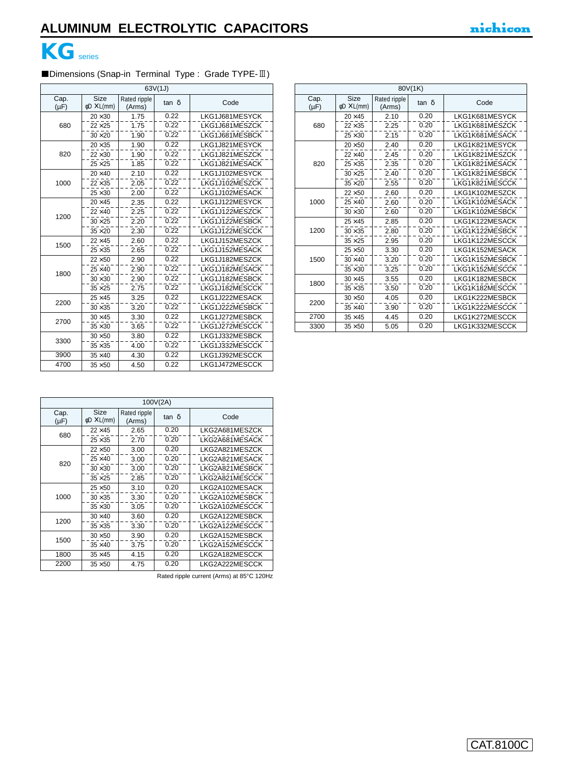

r

## ■Dimensions (Snap-in Terminal Type : Grade TYPE-II)

| 63V(1J)           |                                        |                        |       |                |  |  |
|-------------------|----------------------------------------|------------------------|-------|----------------|--|--|
| Cap.<br>$(\mu F)$ | <b>Size</b><br>$\phi$ D $\times$ L(mm) | Rated ripple<br>(Arms) | tan δ | Code           |  |  |
|                   | $20 \times 30$                         | 1.75                   | 0.22  | LKG1J681MESYCK |  |  |
| 680               | $22 \times 25$                         | 1.75                   | 0.22  | LKG1J681MESZCK |  |  |
|                   | $30 \times 20$                         | 1.90                   | 0.22  | LKG1J681MESBCK |  |  |
|                   | $20 \times 35$                         | 1.90                   | 0.22  | LKG1J821MESYCK |  |  |
| 820               | $22 \times 30$                         | 1.90                   | 0.22  | LKG1J821MESZCK |  |  |
|                   | $25 \times 25$                         | 1.85                   | 0.22  | LKG1J821MESACK |  |  |
|                   | $20 \times 40$                         | 2.10                   | 0.22  | LKG1J102MESYCK |  |  |
| 1000              | $22 \times 35$                         | 2.05                   | 0.22  | LKG1J102MESZCK |  |  |
|                   | $25 \times 30$                         | 2.00                   | 0.22  | LKG1J102MESACK |  |  |
|                   | $20 \times 45$                         | 2.35                   | 0.22  | LKG1J122MESYCK |  |  |
| 1200              | $22 \times 40$                         | 2.25                   | 0.22  | LKG1J122MESZCK |  |  |
|                   | $30 \times 25$                         | 2.20                   | 0.22  | LKG1J122MESBCK |  |  |
|                   | $35 \times 20$                         | 2.30                   | 0.22  | LKG1J122MESCCK |  |  |
| 1500              | $22 \times 45$                         | 2.60                   | 0.22  | LKG1J152MESZCK |  |  |
|                   | $25 \times 35$                         | 2.65                   | 0.22  | LKG1J152MESACK |  |  |
|                   | $22 \times 50$                         | 2.90                   | 0.22  | LKG1J182MESZCK |  |  |
| 1800              | $25 \times 40$                         | 2.90                   | 0.22  | LKG1J182MESACK |  |  |
|                   | $30 \times 30$                         | 2.90                   | 0.22  | LKG1J182MESBCK |  |  |
|                   | $35 \times 25$                         | 2.75                   | 0.22  | LKG1J182MESCCK |  |  |
| 2200              | $25 \times 45$                         | 3.25                   | 0.22  | LKG1J222MESACK |  |  |
|                   | $30 \times 35$                         | 3.20                   | 0.22  | LKG1J222MESBCK |  |  |
| 2700              | $30 \times 45$                         | 3.30                   | 0.22  | LKG1J272MESBCK |  |  |
|                   | $35 \times 30$                         | 3.65                   | 0.22  | LKG1J272MESCCK |  |  |
| 3300              | $30\times50$                           | 3.80                   | 0.22  | LKG1J332MESBCK |  |  |
|                   | $35 \times 35$                         | 4.00                   | 0.22  | LKG1J332MESCCK |  |  |
| 3900              | $35 \times 40$                         | 4.30                   | 0.22  | LKG1J392MESCCK |  |  |
| 4700              | $35\times50$                           | 4.50                   | 0.22  | LKG1J472MESCCK |  |  |

| 80V(1K)           |                                        |                        |              |                |  |  |
|-------------------|----------------------------------------|------------------------|--------------|----------------|--|--|
| Cap.<br>$(\mu F)$ | <b>Size</b><br>$\phi$ D $\times$ L(mm) | Rated ripple<br>(Arms) | $tan \delta$ | Code           |  |  |
|                   | $20 \times 45$                         | 2.10                   | 0.20         | LKG1K681MESYCK |  |  |
| 680               | $22 \times 35$                         | 2.25                   | 0.20         | LKG1K681MESZCK |  |  |
|                   | $25 \times 30$                         | 2.15                   | 0.20         | LKG1K681MESACK |  |  |
|                   | $20\times50$                           | 2.40                   | 0.20         | LKG1K821MESYCK |  |  |
|                   | $22 \times 40$                         | 2.45                   | 0.20         | LKG1K821MESZCK |  |  |
| 820               | $25 \times 35$                         | 2.35                   | 0.20         | LKG1K821MESACK |  |  |
|                   | $30 \times 25$                         | 2.40                   | 0.20         | LKG1K821MESBCK |  |  |
|                   | $35 \times 20$                         | 2.55                   | 0.20         | LKG1K821MESCCK |  |  |
|                   | $22\times50$                           | 2.60                   | 0.20         | LKG1K102MESZCK |  |  |
| 1000              | $25 \times 40$                         | 2.60                   | 0.20         | LKG1K102MESACK |  |  |
|                   | $30 \times 30$                         | 2.60                   | 0.20         | LKG1K102MESBCK |  |  |
|                   | $25 \times 45$                         | 2.85                   | 0.20         | LKG1K122MESACK |  |  |
| 1200              | $30 \times 35$                         | 2.80                   | 0.20         | LKG1K122MESBCK |  |  |
|                   | $35 \times 25$                         | 2.95                   | 0.20         | LKG1K122MESCCK |  |  |
|                   | $25\times50$                           | 3.30                   | 0.20         | LKG1K152MESACK |  |  |
| 1500              | $30 \times 40$                         | 3.20                   | 0.20         | LKG1K152MESBCK |  |  |
|                   | $35 \times 30$                         | 3.25                   | 0.20         | LKG1K152MESCCK |  |  |
| 1800              | $30 \times 45$                         | 3.55                   | 0.20         | LKG1K182MESBCK |  |  |
|                   | $35 \times 35$                         | 3.50                   | 0.20         | LKG1K182MESCCK |  |  |
| 2200              | $30\times50$                           | 4.05                   | 0.20         | LKG1K222MESBCK |  |  |
|                   | $35 \times 40$                         | 3.90                   | 0.20         | LKG1K222MESCCK |  |  |
| 2700              | $35 \times 45$                         | 4.45                   | 0.20         | LKG1K272MESCCK |  |  |
| 3300              | $35 \times 50$                         | 5.05                   | 0.20         | LKG1K332MESCCK |  |  |

| 100V(2A)          |                                 |                        |       |                |  |  |
|-------------------|---------------------------------|------------------------|-------|----------------|--|--|
| Cap.<br>$(\mu F)$ | Size<br>$\phi$ D $\times$ L(mm) | Rated ripple<br>(Arms) | tan δ | Code           |  |  |
| 680               | $22 \times 45$                  | 2.65                   | 0.20  | LKG2A681MESZCK |  |  |
|                   | $25 \times 35$                  | 2.70                   | 0.20  | LKG2A681MESACK |  |  |
|                   | $22\times50$                    | 3.00                   | 0.20  | LKG2A821MESZCK |  |  |
| 820               | $25 \times 40$                  | 3.00                   | 0.20  | LKG2A821MESACK |  |  |
|                   | $30 \times 30$                  | 3.00                   | 0.20  | LKG2A821MESBCK |  |  |
|                   | $35 \times 25$                  | 2.85                   | 0.20  | LKG2A821MESCCK |  |  |
|                   | $25\times50$                    | 3.10                   | 0.20  | LKG2A102MESACK |  |  |
| 1000              | $30 \times 35$                  | 3.30                   | 0.20  | LKG2A102MESBCK |  |  |
|                   | $35 \times 30$                  | 3.05                   | 0.20  | LKG2A102MESCCK |  |  |
| 1200              | $30 \times 40$                  | 3.60                   | 0.20  | LKG2A122MESBCK |  |  |
|                   | $35 \times 35$                  | 3.30                   | 0.20  | LKG2A122MESCCK |  |  |
| 1500              | $30 \times 50$                  | 3.90                   | 0.20  | LKG2A152MESBCK |  |  |
|                   | $35 \times 40$                  | 3.75                   | 0.20  | LKG2A152MESCCK |  |  |
| 1800              | $35 \times 45$                  | 4.15                   | 0.20  | LKG2A182MESCCK |  |  |
| 2200              | $35 \times 50$                  | 4.75                   | 0.20  | LKG2A222MESCCK |  |  |